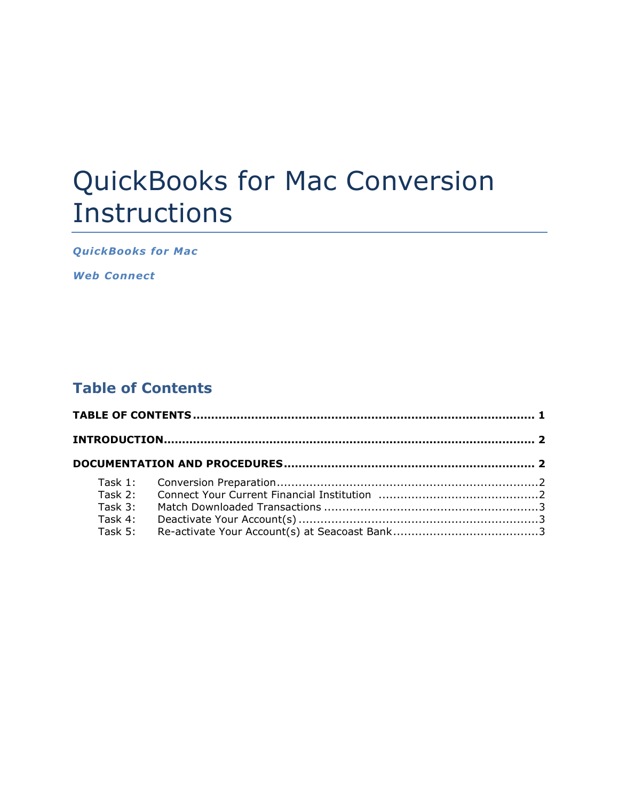# QuickBooks for Mac Conversion Instructions

*QuickBooks for Mac* 

*Web Connect*

## **Table of Contents**

| Task 3: |  |  |
|---------|--|--|
|         |  |  |
|         |  |  |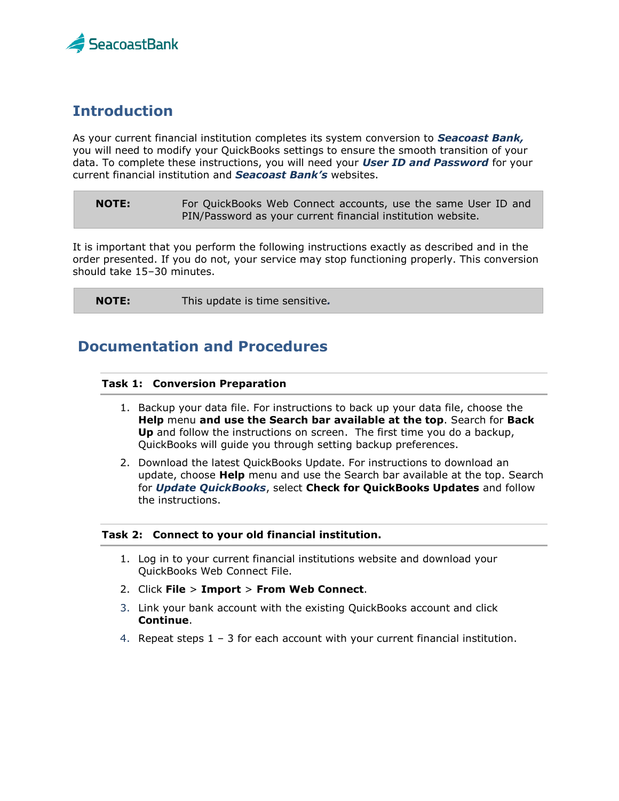

## **Introduction**

As your current financial institution completes its system conversion to *Seacoast Bank,* you will need to modify your QuickBooks settings to ensure the smooth transition of your data. To complete these instructions, you will need your *User ID and Password* for your current financial institution and *Seacoast Bank's* websites.

**NOTE:** For QuickBooks Web Connect accounts, use the same User ID and PIN/Password as your current financial institution website.

It is important that you perform the following instructions exactly as described and in the order presented. If you do not, your service may stop functioning properly. This conversion should take 15–30 minutes.

| <b>NOTE:</b> | This update is time sensitive. |  |
|--------------|--------------------------------|--|
|--------------|--------------------------------|--|

### **Documentation and Procedures**

#### **Task 1: Conversion Preparation**

- 1. Backup your data file. For instructions to back up your data file, choose the **Help** menu **and use the Search bar available at the top**. Search for **Back Up** and follow the instructions on screen. The first time you do a backup, QuickBooks will guide you through setting backup preferences.
- 2. Download the latest QuickBooks Update. For instructions to download an update, choose **Help** menu and use the Search bar available at the top. Search for *Update QuickBooks*, select **Check for QuickBooks Updates** and follow the instructions.

#### **Task 2: Connect to your old financial institution.**

- 1. Log in to your current financial institutions website and download your QuickBooks Web Connect File.
- 2. Click **File** > **Import** > **From Web Connect**.
- 3. Link your bank account with the existing QuickBooks account and click **Continue**.
- 4. Repeat steps 1 3 for each account with your current financial institution.